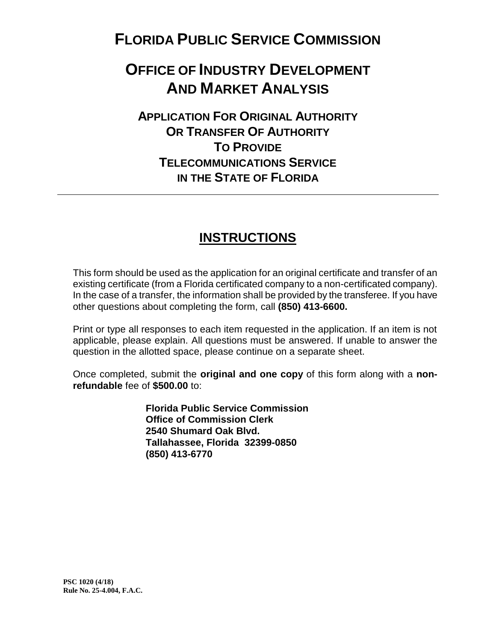# **FLORIDA PUBLIC SERVICE COMMISSION**

# **OFFICE OF INDUSTRY DEVELOPMENT AND MARKET ANALYSIS**

## **APPLICATION FOR ORIGINAL AUTHORITY OR TRANSFER OF AUTHORITY TO PROVIDE TELECOMMUNICATIONS SERVICE IN THE STATE OF FLORIDA**

### **INSTRUCTIONS**

This form should be used as the application for an original certificate and transfer of an existing certificate (from a Florida certificated company to a non-certificated company). In the case of a transfer, the information shall be provided by the transferee. If you have other questions about completing the form, call **(850) 413-6600.**

Print or type all responses to each item requested in the application. If an item is not applicable, please explain. All questions must be answered. If unable to answer the question in the allotted space, please continue on a separate sheet.

Once completed, submit the **original and one copy** of this form along with a **nonrefundable** fee of **\$500.00** to:

> **Florida Public Service Commission Office of Commission Clerk 2540 Shumard Oak Blvd. Tallahassee, Florida 32399-0850 (850) 413-6770**

**PSC 1020 (4/18) Rule No. 25-4.004, F.A.C.**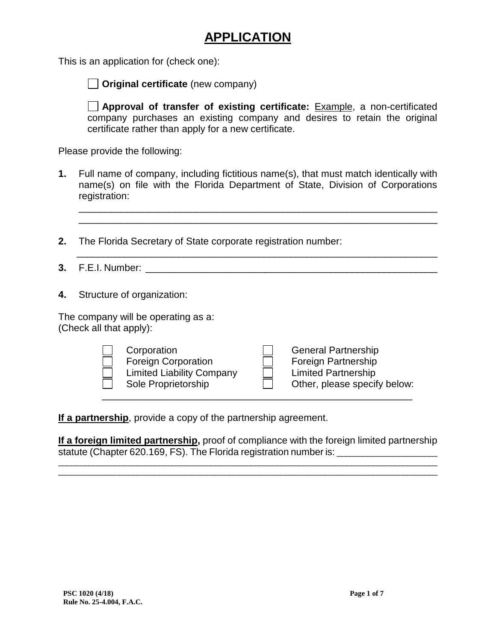### **APPLICATION**

This is an application for (check one):

**Original certificate** (new company)

**Approval of transfer of existing certificate:** Example, a non-certificated company purchases an existing company and desires to retain the original certificate rather than apply for a new certificate.

Please provide the following:

**1.** Full name of company, including fictitious name(s), that must match identically with name(s) on file with the Florida Department of State, Division of Corporations registration:

\_\_\_\_\_\_\_\_\_\_\_\_\_\_\_\_\_\_\_\_\_\_\_\_\_\_\_\_\_\_\_\_\_\_\_\_\_\_\_\_\_\_\_\_\_\_\_\_\_\_\_\_\_\_\_\_\_\_\_\_\_\_\_\_\_\_\_

- **2.** The Florida Secretary of State corporate registration number:
- **3.** F.E.I. Number:  $\blacksquare$

 $\overline{\phantom{a}}$  ,  $\overline{\phantom{a}}$  ,  $\overline{\phantom{a}}$  ,  $\overline{\phantom{a}}$  ,  $\overline{\phantom{a}}$  ,  $\overline{\phantom{a}}$  ,  $\overline{\phantom{a}}$  ,  $\overline{\phantom{a}}$  ,  $\overline{\phantom{a}}$  ,  $\overline{\phantom{a}}$  ,  $\overline{\phantom{a}}$  ,  $\overline{\phantom{a}}$  ,  $\overline{\phantom{a}}$  ,  $\overline{\phantom{a}}$  ,  $\overline{\phantom{a}}$  ,  $\overline{\phantom{a}}$ 

**4.** Structure of organization:

The company will be operating as a: (Check all that apply):

| Corporation<br><b>Foreign Corporation</b><br><b>Limited Liability Company</b><br>Sole Proprietorship |  | <b>General Partnership</b><br><b>Foreign Partnership</b><br><b>Limited Partnership</b><br>Other, please specify below: |
|------------------------------------------------------------------------------------------------------|--|------------------------------------------------------------------------------------------------------------------------|
|------------------------------------------------------------------------------------------------------|--|------------------------------------------------------------------------------------------------------------------------|

**If a partnership**, provide a copy of the partnership agreement.

**If a foreign limited partnership**, proof of compliance with the foreign limited partnership statute (Chapter 620.169, FS). The Florida registration number is:

\_\_\_\_\_\_\_\_\_\_\_\_\_\_\_\_\_\_\_\_\_\_\_\_\_\_\_\_\_\_\_\_\_\_\_\_\_\_\_\_\_\_\_\_\_\_\_\_\_\_\_\_\_\_\_\_\_\_\_\_\_\_\_\_\_\_\_\_\_\_\_\_\_\_\_\_\_\_\_\_\_\_\_\_\_\_\_ \_\_\_\_\_\_\_\_\_\_\_\_\_\_\_\_\_\_\_\_\_\_\_\_\_\_\_\_\_\_\_\_\_\_\_\_\_\_\_\_\_\_\_\_\_\_\_\_\_\_\_\_\_\_\_\_\_\_\_\_\_\_\_\_\_\_\_\_\_\_\_\_\_\_\_\_\_\_\_\_\_\_\_\_\_\_\_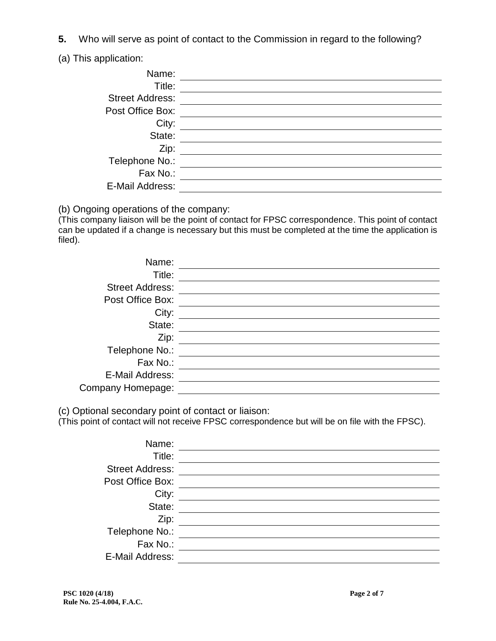- **5.** Who will serve as point of contact to the Commission in regard to the following?
- (a) This application:

| Name:<br>Title:        |  |
|------------------------|--|
| <b>Street Address:</b> |  |
| Post Office Box:       |  |
| City:                  |  |
| State:                 |  |
| Zip:                   |  |
| Telephone No.:         |  |
| Fax No.:               |  |
| E-Mail Address:        |  |

(b) Ongoing operations of the company:

(This company liaison will be the point of contact for FPSC correspondence. This point of contact can be updated if a change is necessary but this must be completed at the time the application is filed).

| Name:                  |  |
|------------------------|--|
| Title:                 |  |
| <b>Street Address:</b> |  |
| Post Office Box:       |  |
| City:                  |  |
| State:                 |  |
| Zip:                   |  |
| Telephone No.:         |  |
| Fax No.:               |  |
| E-Mail Address:        |  |
| Company Homepage:      |  |

(c) Optional secondary point of contact or liaison:

(This point of contact will not receive FPSC correspondence but will be on file with the FPSC).

| Name:                  |  |
|------------------------|--|
| Title:                 |  |
| <b>Street Address:</b> |  |
| Post Office Box:       |  |
| City:                  |  |
| State:                 |  |
| Zip:                   |  |
| Telephone No.:         |  |
| Fax No.:               |  |
| E-Mail Address:        |  |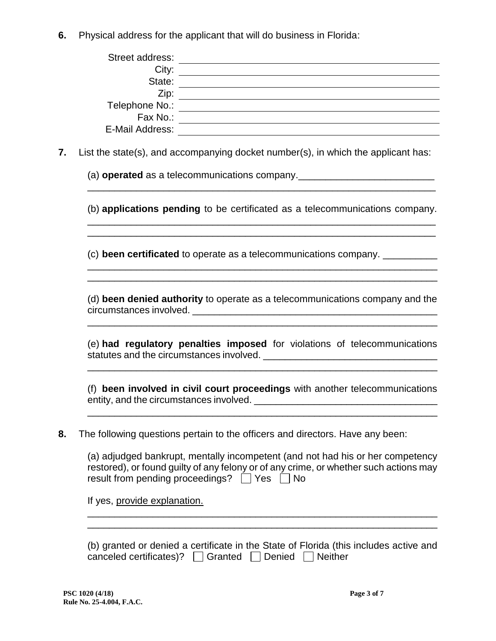**6.** Physical address for the applicant that will do business in Florida:

| Street address: |  |
|-----------------|--|
| City:           |  |
| State:          |  |
| Zip:            |  |
| Telephone No.:  |  |
| Fax No.:        |  |
| E-Mail Address: |  |

**7.** List the state(s), and accompanying docket number(s), in which the applicant has:

(a) **operated** as a telecommunications company.<br>

(b) **applications pending** to be certificated as a telecommunications company.

\_\_\_\_\_\_\_\_\_\_\_\_\_\_\_\_\_\_\_\_\_\_\_\_\_\_\_\_\_\_\_\_\_\_\_\_\_\_\_\_\_\_\_\_\_\_\_\_\_\_\_\_\_\_\_\_\_\_\_\_\_\_\_\_

\_\_\_\_\_\_\_\_\_\_\_\_\_\_\_\_\_\_\_\_\_\_\_\_\_\_\_\_\_\_\_\_\_\_\_\_\_\_\_\_\_\_\_\_\_\_\_\_\_\_\_\_\_\_\_\_\_\_\_\_\_\_\_\_\_ \_\_\_\_\_\_\_\_\_\_\_\_\_\_\_\_\_\_\_\_\_\_\_\_\_\_\_\_\_\_\_\_\_\_\_\_\_\_\_\_\_\_\_\_\_\_\_\_\_\_\_\_\_\_\_\_\_\_\_\_\_\_\_\_\_

\_\_\_\_\_\_\_\_\_\_\_\_\_\_\_\_\_\_\_\_\_\_\_\_\_\_\_\_\_\_\_\_\_\_\_\_\_\_\_\_\_\_\_\_\_\_\_\_\_\_\_\_\_\_\_\_\_\_\_\_\_\_\_\_

\_\_\_\_\_\_\_\_\_\_\_\_\_\_\_\_\_\_\_\_\_\_\_\_\_\_\_\_\_\_\_\_\_\_\_\_\_\_\_\_\_\_\_\_\_\_\_\_\_\_\_\_\_\_\_\_\_\_\_\_\_\_\_\_

(c) **been certificated** to operate as a telecommunications company. \_\_\_\_\_\_\_\_\_\_

(d) **been denied authority** to operate as a telecommunications company and the circumstances involved. \_\_\_\_\_\_\_\_\_\_\_\_\_\_\_\_\_\_\_\_\_\_\_\_\_\_\_\_\_\_\_\_\_\_\_\_\_\_\_\_\_\_\_\_\_

\_\_\_\_\_\_\_\_\_\_\_\_\_\_\_\_\_\_\_\_\_\_\_\_\_\_\_\_\_\_\_\_\_\_\_\_\_\_\_\_\_\_\_\_\_\_\_\_\_\_\_\_\_\_\_\_\_\_\_\_\_\_\_\_\_

(e) **had regulatory penalties imposed** for violations of telecommunications statutes and the circumstances involved. \_\_\_\_\_\_\_\_\_\_\_\_\_\_\_\_\_\_\_\_\_\_\_\_\_\_\_\_\_\_\_\_

\_\_\_\_\_\_\_\_\_\_\_\_\_\_\_\_\_\_\_\_\_\_\_\_\_\_\_\_\_\_\_\_\_\_\_\_\_\_\_\_\_\_\_\_\_\_\_\_\_\_\_\_\_\_\_\_\_\_\_\_\_\_\_\_\_

(f) **been involved in civil court proceedings** with another telecommunications entity, and the circumstances involved. \_\_\_\_\_\_\_\_\_\_\_\_\_\_\_\_\_\_\_\_\_\_\_\_\_\_\_\_\_\_\_\_\_\_

**8.** The following questions pertain to the officers and directors. Have any been:

(a) adjudged bankrupt, mentally incompetent (and not had his or her competency restored), or found guilty of any felony or of any crime, or whether such actions may result from pending proceedings?  $\Box$  Yes  $\Box$  No

If yes, provide explanation.

\_\_\_\_\_\_\_\_\_\_\_\_\_\_\_\_\_\_\_\_\_\_\_\_\_\_\_\_\_\_\_\_\_\_\_\_\_\_\_\_\_\_\_\_\_\_\_\_\_\_\_\_\_\_\_\_\_\_\_\_\_\_\_\_\_

| (b) granted or denied a certificate in the State of Florida (this includes active and |  |  |
|---------------------------------------------------------------------------------------|--|--|
| canceled certificates)? $\Box$ Granted $\Box$ Denied $\Box$ Neither                   |  |  |

\_\_\_\_\_\_\_\_\_\_\_\_\_\_\_\_\_\_\_\_\_\_\_\_\_\_\_\_\_\_\_\_\_\_\_\_\_\_\_\_\_\_\_\_\_\_\_\_\_\_\_\_\_\_\_\_\_\_\_\_\_\_\_\_\_ \_\_\_\_\_\_\_\_\_\_\_\_\_\_\_\_\_\_\_\_\_\_\_\_\_\_\_\_\_\_\_\_\_\_\_\_\_\_\_\_\_\_\_\_\_\_\_\_\_\_\_\_\_\_\_\_\_\_\_\_\_\_\_\_\_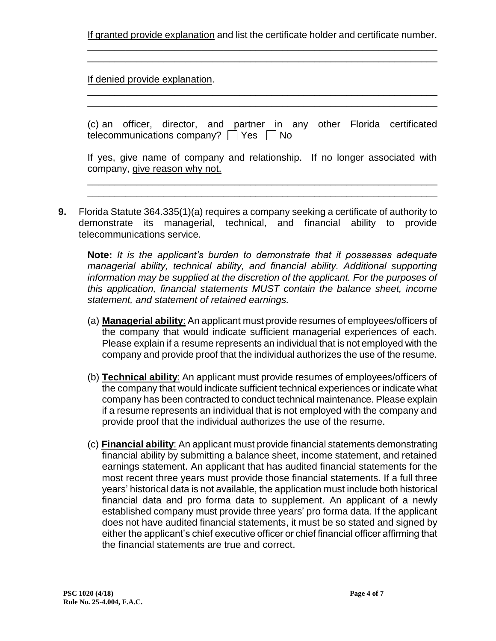If granted provide explanation and list the certificate holder and certificate number. \_\_\_\_\_\_\_\_\_\_\_\_\_\_\_\_\_\_\_\_\_\_\_\_\_\_\_\_\_\_\_\_\_\_\_\_\_\_\_\_\_\_\_\_\_\_\_\_\_\_\_\_\_\_\_\_\_\_\_\_\_\_\_\_\_

\_\_\_\_\_\_\_\_\_\_\_\_\_\_\_\_\_\_\_\_\_\_\_\_\_\_\_\_\_\_\_\_\_\_\_\_\_\_\_\_\_\_\_\_\_\_\_\_\_\_\_\_\_\_\_\_\_\_\_\_\_\_\_\_\_

\_\_\_\_\_\_\_\_\_\_\_\_\_\_\_\_\_\_\_\_\_\_\_\_\_\_\_\_\_\_\_\_\_\_\_\_\_\_\_\_\_\_\_\_\_\_\_\_\_\_\_\_\_\_\_\_\_\_\_\_\_\_\_\_\_ \_\_\_\_\_\_\_\_\_\_\_\_\_\_\_\_\_\_\_\_\_\_\_\_\_\_\_\_\_\_\_\_\_\_\_\_\_\_\_\_\_\_\_\_\_\_\_\_\_\_\_\_\_\_\_\_\_\_\_\_\_\_\_\_\_

If denied provide explanation.

|  |                                        |  |  |  | (c) an officer, director, and partner in any other Florida certificated |
|--|----------------------------------------|--|--|--|-------------------------------------------------------------------------|
|  | telecommunications company? □ Yes □ No |  |  |  |                                                                         |

| If yes, give name of company and relationship. If no longer associated with |  |
|-----------------------------------------------------------------------------|--|
| company, give reason why not.                                               |  |
|                                                                             |  |

\_\_\_\_\_\_\_\_\_\_\_\_\_\_\_\_\_\_\_\_\_\_\_\_\_\_\_\_\_\_\_\_\_\_\_\_\_\_\_\_\_\_\_\_\_\_\_\_\_\_\_\_\_\_\_\_\_\_\_\_\_\_\_\_\_

**9.** Florida Statute 364.335(1)(a) requires a company seeking a certificate of authority to demonstrate its managerial, technical, and financial ability to provide telecommunications service.

**Note:** *It is the applicant's burden to demonstrate that it possesses adequate managerial ability, technical ability, and financial ability. Additional supporting information may be supplied at the discretion of the applicant. For the purposes of this application, financial statements MUST contain the balance sheet, income statement, and statement of retained earnings.*

- (a) **Managerial ability**: An applicant must provide resumes of employees/officers of the company that would indicate sufficient managerial experiences of each. Please explain if a resume represents an individual that is not employed with the company and provide proof that the individual authorizes the use of the resume.
- (b) **Technical ability**: An applicant must provide resumes of employees/officers of the company that would indicate sufficient technical experiences or indicate what company has been contracted to conduct technical maintenance. Please explain if a resume represents an individual that is not employed with the company and provide proof that the individual authorizes the use of the resume.
- (c) **Financial ability**: An applicant must provide financial statements demonstrating financial ability by submitting a balance sheet, income statement, and retained earnings statement. An applicant that has audited financial statements for the most recent three years must provide those financial statements. If a full three years' historical data is not available, the application must include both historical financial data and pro forma data to supplement. An applicant of a newly established company must provide three years' pro forma data. If the applicant does not have audited financial statements, it must be so stated and signed by either the applicant's chief executive officer or chief financial officer affirming that the financial statements are true and correct.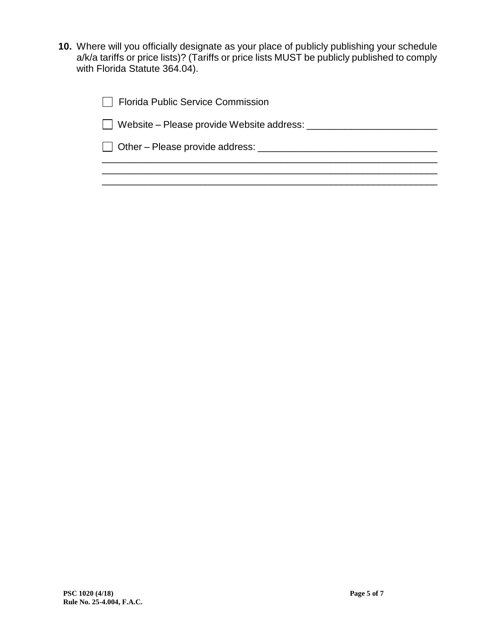**10.** Where will you officially designate as your place of publicly publishing your schedule a/k/a tariffs or price lists)? (Tariffs or price lists MUST be publicly published to comply with Florida Statute 364.04).

| Florida Public Service Commission             |  |
|-----------------------------------------------|--|
| Website – Please provide Website address:     |  |
| $\Box$ Other – Please provide address: $\Box$ |  |
|                                               |  |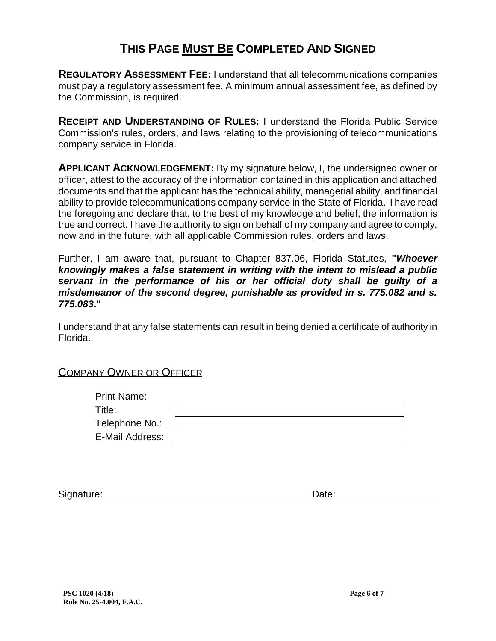### **THIS PAGE MUST BE COMPLETED AND SIGNED**

**REGULATORY ASSESSMENT FEE:** I understand that all telecommunications companies must pay a regulatory assessment fee. A minimum annual assessment fee, as defined by the Commission, is required.

**RECEIPT AND UNDERSTANDING OF RULES:** I understand the Florida Public Service Commission's rules, orders, and laws relating to the provisioning of telecommunications company service in Florida.

**APPLICANT ACKNOWLEDGEMENT:** By my signature below, I, the undersigned owner or officer, attest to the accuracy of the information contained in this application and attached documents and that the applicant has the technical ability, managerial ability, and financial ability to provide telecommunications company service in the State of Florida. I have read the foregoing and declare that, to the best of my knowledge and belief, the information is true and correct. I have the authority to sign on behalf of my company and agree to comply, now and in the future, with all applicable Commission rules, orders and laws.

Further, I am aware that, pursuant to Chapter 837.06, Florida Statutes, **"***Whoever knowingly makes a false statement in writing with the intent to mislead a public servant in the performance of his or her official duty shall be guilty of a misdemeanor of the second degree, punishable as provided in s. 775.082 and s. 775.083***."**

I understand that any false statements can result in being denied a certificate of authority in Florida.

#### COMPANY OWNER OR OFFICER

| <b>Print Name:</b> |  |
|--------------------|--|
| Title:             |  |
| Telephone No.:     |  |
| E-Mail Address:    |  |

| Signature: | Jate:<br>____ |  |
|------------|---------------|--|
|            |               |  |